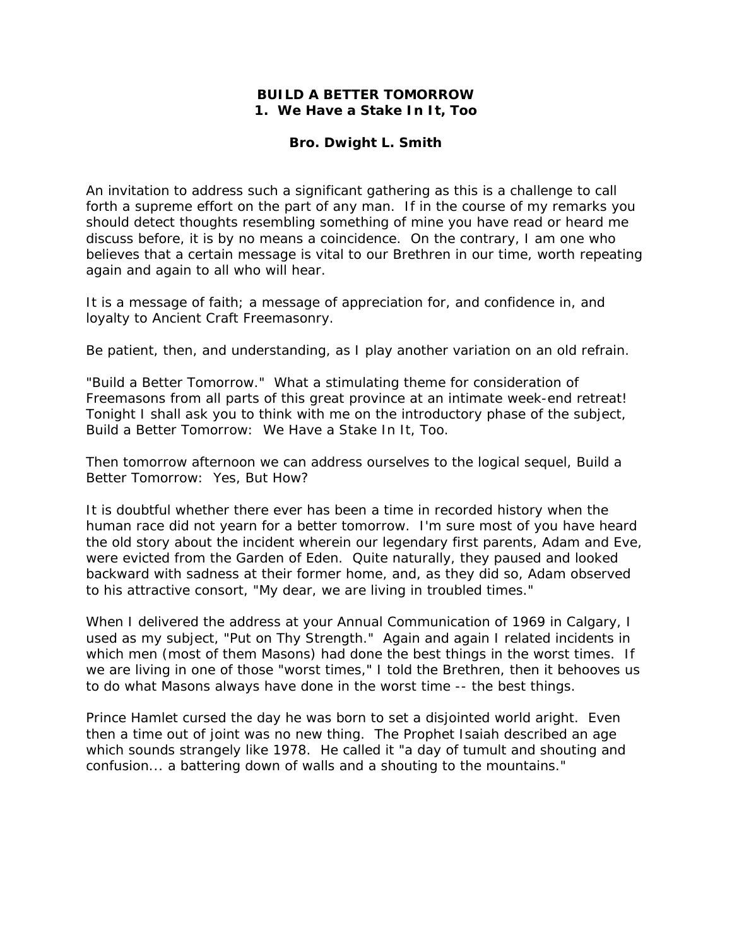## **BUILD A BETTER TOMORROW 1. We Have a Stake In It, Too**

## **Bro. Dwight L. Smith**

An invitation to address such a significant gathering as this is a challenge to call forth a supreme effort on the part of any man. If in the course of my remarks you should detect thoughts resembling something of mine you have read or heard me discuss before, it is by no means a coincidence. On the contrary, I am one who believes that a certain message is vital to our Brethren in our time, worth repeating again and again to all who will hear.

It is a message of faith; a message of appreciation for, and confidence in, and loyalty to Ancient Craft Freemasonry.

Be patient, then, and understanding, as I play another variation on an old refrain.

"Build a Better Tomorrow." What a stimulating theme for consideration of Freemasons from all parts of this great province at an intimate week-end retreat! Tonight I shall ask you to think with me on the introductory phase of the subject, Build a Better Tomorrow: We Have a Stake In It, Too.

Then tomorrow afternoon we can address ourselves to the logical sequel, Build a Better Tomorrow: Yes, But How?

It is doubtful whether there ever has been a time in recorded history when the human race did not yearn for a better tomorrow. I'm sure most of you have heard the old story about the incident wherein our legendary first parents, Adam and Eve, were evicted from the Garden of Eden. Quite naturally, they paused and looked backward with sadness at their former home, and, as they did so, Adam observed to his attractive consort, "My dear, we are living in troubled times."

When I delivered the address at your Annual Communication of 1969 in Calgary, I used as my subject, "Put on Thy Strength." Again and again I related incidents in which men (most of them Masons) had done the best things in the worst times. If we are living in one of those "worst times," I told the Brethren, then it behooves us to do what Masons always have done in the worst time -- the best things.

Prince Hamlet cursed the day he was born to set a disjointed world aright. Even then a time out of joint was no new thing. The Prophet Isaiah described an age which sounds strangely like 1978. He called it "a day of tumult and shouting and confusion... a battering down of walls and a shouting to the mountains."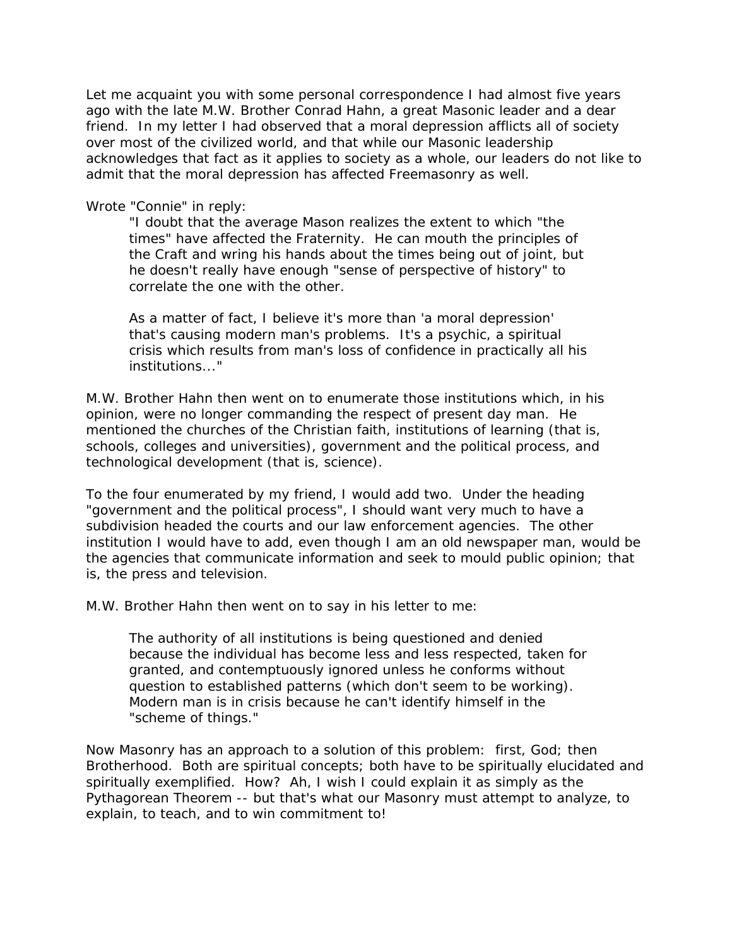Let me acquaint you with some personal correspondence I had almost five years ago with the late M.W. Brother Conrad Hahn, a great Masonic leader and a dear friend. In my letter I had observed that a moral depression afflicts all of society over most of the civilized world, and that while our Masonic leadership acknowledges that fact as it applies to society as a whole, our leaders do not like to admit that the moral depression has affected Freemasonry as well.

## Wrote "Connie" in reply:

"I doubt that the average Mason realizes the extent to which "the times" have affected the Fraternity. He can mouth the principles of the Craft and wring his hands about the times being out of joint, but he doesn't really have enough "sense of perspective of history" to correlate the one with the other.

As a matter of fact, I believe it's more than 'a moral depression' that's causing modern man's problems. It's a psychic, a spiritual crisis which results from man's loss of confidence in practically all his institutions..."

M.W. Brother Hahn then went on to enumerate those institutions which, in his opinion, were no longer commanding the respect of present day man. He mentioned the churches of the Christian faith, institutions of learning (that is, schools, colleges and universities), government and the political process, and technological development (that is, science).

To the four enumerated by my friend, I would add two. Under the heading "government and the political process", I should want very much to have a subdivision headed the courts and our law enforcement agencies. The other institution I would have to add, even though I am an old newspaper man, would be the agencies that communicate information and seek to mould public opinion; that is, the press and television.

M.W. Brother Hahn then went on to say in his letter to me:

The authority of all institutions is being questioned and denied because the individual has become less and less respected, taken for granted, and contemptuously ignored unless he conforms without question to established patterns (which don't seem to be working). Modern man is in crisis because he can't identify himself in the "scheme of things."

Now Masonry has an approach to a solution of this problem: first, God; then Brotherhood. Both are spiritual concepts; both have to be spiritually elucidated and spiritually exemplified. How? Ah, I wish I could explain it as simply as the Pythagorean Theorem -- but that's what our Masonry must attempt to analyze, to explain, to teach, and to win commitment to!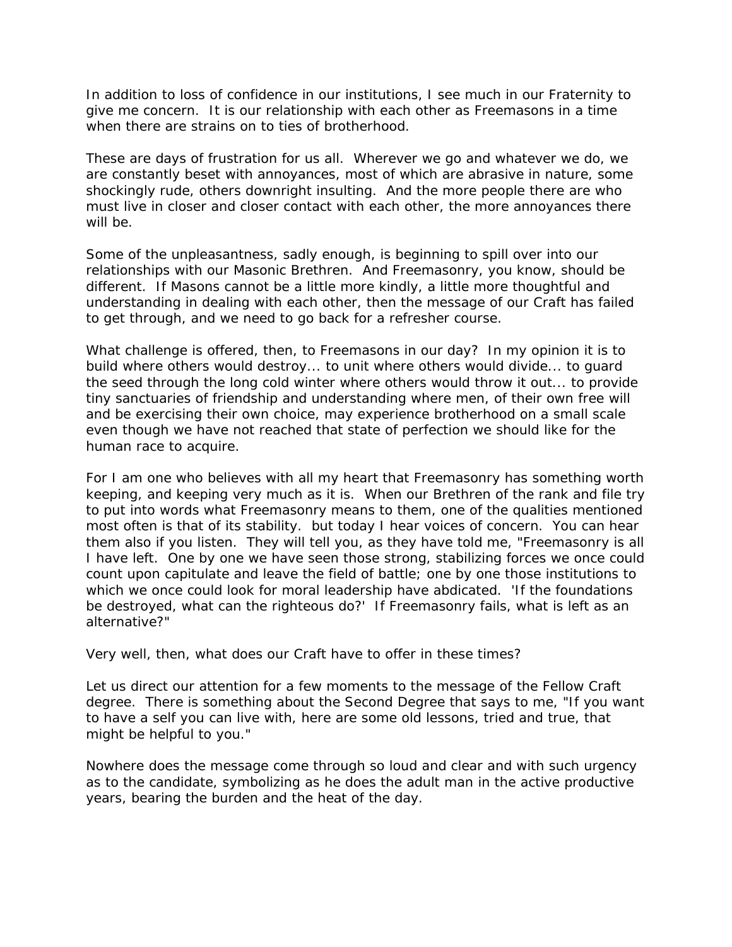In addition to loss of confidence in our institutions, I see much in our Fraternity to give me concern. It is our relationship with each other as Freemasons in a time when there are strains on to ties of brotherhood.

These are days of frustration for us all. Wherever we go and whatever we do, we are constantly beset with annoyances, most of which are abrasive in nature, some shockingly rude, others downright insulting. And the more people there are who must live in closer and closer contact with each other, the more annoyances there will be.

Some of the unpleasantness, sadly enough, is beginning to spill over into our relationships with our Masonic Brethren. And Freemasonry, you know, should be different. If Masons cannot be a little more kindly, a little more thoughtful and understanding in dealing with each other, then the message of our Craft has failed to get through, and we need to go back for a refresher course.

What challenge is offered, then, to Freemasons in our day? In my opinion it is to build where others would destroy... to unit where others would divide... to guard the seed through the long cold winter where others would throw it out... to provide tiny sanctuaries of friendship and understanding where men, of their own free will and be exercising their own choice, may experience brotherhood on a small scale even though we have not reached that state of perfection we should like for the human race to acquire.

For I am one who believes with all my heart that Freemasonry has something worth keeping, and keeping very much as it is. When our Brethren of the rank and file try to put into words what Freemasonry means to them, one of the qualities mentioned most often is that of its stability. but today I hear voices of concern. You can hear them also if you listen. They will tell you, as they have told me, "Freemasonry is all I have left. One by one we have seen those strong, stabilizing forces we once could count upon capitulate and leave the field of battle; one by one those institutions to which we once could look for moral leadership have abdicated. 'If the foundations be destroyed, what can the righteous do?' If Freemasonry fails, what is left as an alternative?"

Very well, then, what does our Craft have to offer in these times?

Let us direct our attention for a few moments to the message of the Fellow Craft degree. There is something about the Second Degree that says to me, "If you want to have a self you can live with, here are some old lessons, tried and true, that might be helpful to you."

Nowhere does the message come through so loud and clear and with such urgency as to the candidate, symbolizing as he does the adult man in the active productive years, bearing the burden and the heat of the day.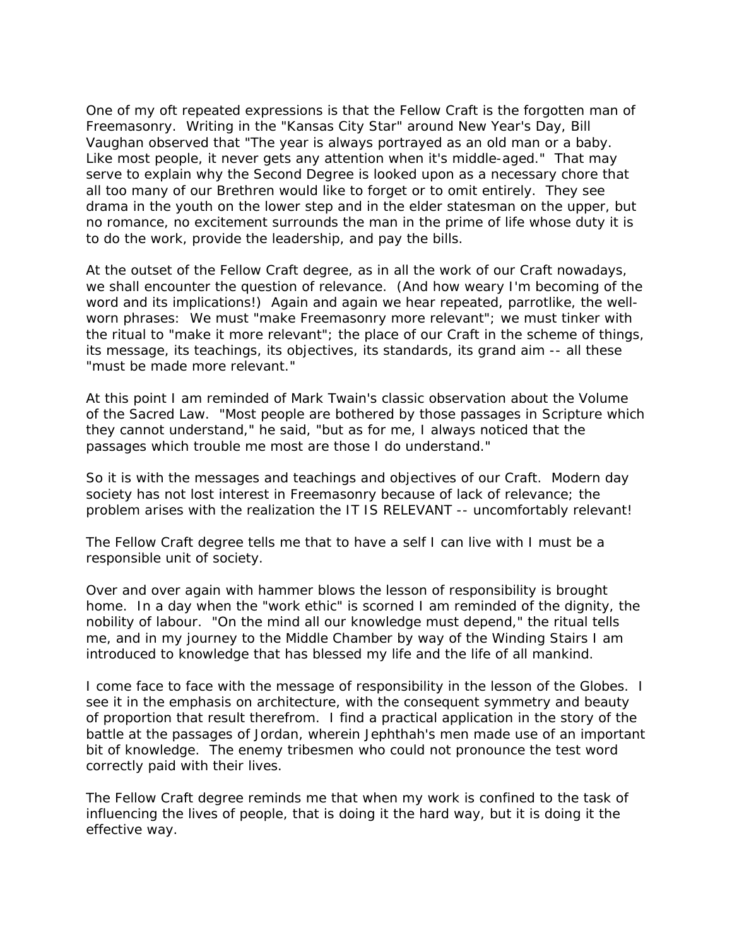One of my oft repeated expressions is that the Fellow Craft is the forgotten man of Freemasonry. Writing in the "Kansas City Star" around New Year's Day, Bill Vaughan observed that "The year is always portrayed as an old man or a baby. Like most people, it never gets any attention when it's middle-aged." That may serve to explain why the Second Degree is looked upon as a necessary chore that all too many of our Brethren would like to forget or to omit entirely. They see drama in the youth on the lower step and in the elder statesman on the upper, but no romance, no excitement surrounds the man in the prime of life whose duty it is to do the work, provide the leadership, and pay the bills.

At the outset of the Fellow Craft degree, as in all the work of our Craft nowadays, we shall encounter the question of relevance. (And how weary I'm becoming of the word and its implications!) Again and again we hear repeated, parrotlike, the wellworn phrases: We must "make Freemasonry more relevant"; we must tinker with the ritual to "make it more relevant"; the place of our Craft in the scheme of things, its message, its teachings, its objectives, its standards, its grand aim -- all these "must be made more relevant."

At this point I am reminded of Mark Twain's classic observation about the Volume of the Sacred Law. "Most people are bothered by those passages in Scripture which they cannot understand," he said, "but as for me, I always noticed that the passages which trouble me most are those I do understand."

So it is with the messages and teachings and objectives of our Craft. Modern day society has not lost interest in Freemasonry because of lack of relevance; the problem arises with the realization the IT IS RELEVANT -- uncomfortably relevant!

The Fellow Craft degree tells me that to have a self I can live with I must be a responsible unit of society.

Over and over again with hammer blows the lesson of responsibility is brought home. In a day when the "work ethic" is scorned I am reminded of the dignity, the nobility of labour. "On the mind all our knowledge must depend," the ritual tells me, and in my journey to the Middle Chamber by way of the Winding Stairs I am introduced to knowledge that has blessed my life and the life of all mankind.

I come face to face with the message of responsibility in the lesson of the Globes. I see it in the emphasis on architecture, with the consequent symmetry and beauty of proportion that result therefrom. I find a practical application in the story of the battle at the passages of Jordan, wherein Jephthah's men made use of an important bit of knowledge. The enemy tribesmen who could not pronounce the test word correctly paid with their lives.

The Fellow Craft degree reminds me that when my work is confined to the task of influencing the lives of people, that is doing it the hard way, but it is doing it the effective way.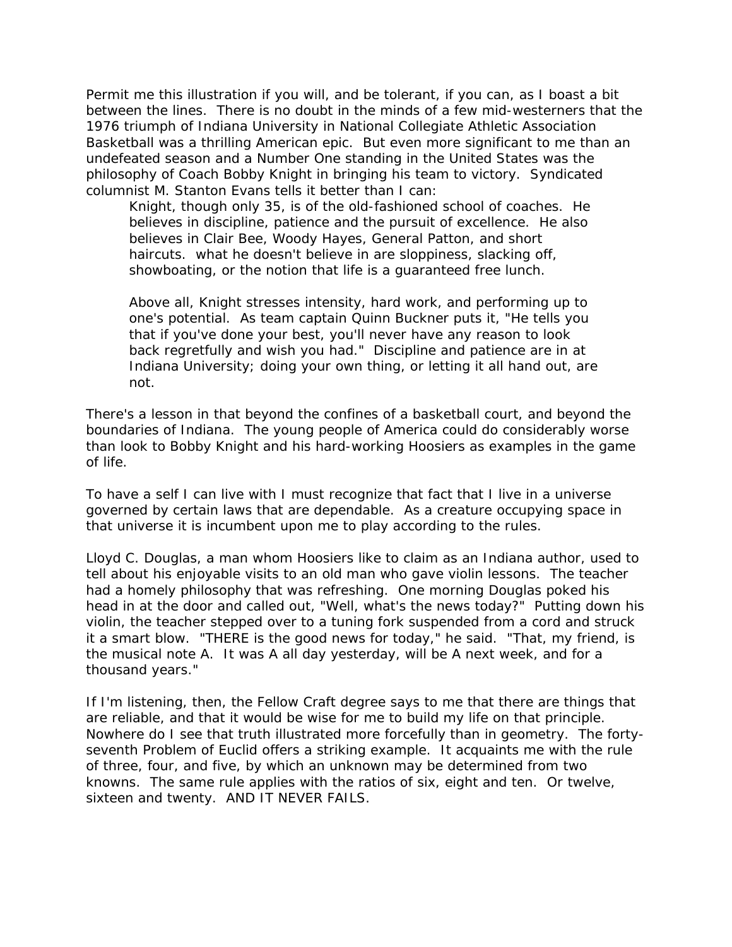Permit me this illustration if you will, and be tolerant, if you can, as I boast a bit between the lines. There is no doubt in the minds of a few mid-westerners that the 1976 triumph of Indiana University in National Collegiate Athletic Association Basketball was a thrilling American epic. But even more significant to me than an undefeated season and a Number One standing in the United States was the philosophy of Coach Bobby Knight in bringing his team to victory. Syndicated columnist M. Stanton Evans tells it better than I can:

Knight, though only 35, is of the old-fashioned school of coaches. He believes in discipline, patience and the pursuit of excellence. He also believes in Clair Bee, Woody Hayes, General Patton, and short haircuts. what he doesn't believe in are sloppiness, slacking off, showboating, or the notion that life is a guaranteed free lunch.

Above all, Knight stresses intensity, hard work, and performing up to one's potential. As team captain Quinn Buckner puts it, "He tells you that if you've done your best, you'll never have any reason to look back regretfully and wish you had." Discipline and patience are in at Indiana University; doing your own thing, or letting it all hand out, are not.

There's a lesson in that beyond the confines of a basketball court, and beyond the boundaries of Indiana. The young people of America could do considerably worse than look to Bobby Knight and his hard-working Hoosiers as examples in the game of life.

To have a self I can live with I must recognize that fact that I live in a universe governed by certain laws that are dependable. As a creature occupying space in that universe it is incumbent upon me to play according to the rules.

Lloyd C. Douglas, a man whom Hoosiers like to claim as an Indiana author, used to tell about his enjoyable visits to an old man who gave violin lessons. The teacher had a homely philosophy that was refreshing. One morning Douglas poked his head in at the door and called out, "Well, what's the news today?" Putting down his violin, the teacher stepped over to a tuning fork suspended from a cord and struck it a smart blow. "THERE is the good news for today," he said. "That, my friend, is the musical note A. It was A all day yesterday, will be A next week, and for a thousand years."

If I'm listening, then, the Fellow Craft degree says to me that there are things that are reliable, and that it would be wise for me to build my life on that principle. Nowhere do I see that truth illustrated more forcefully than in geometry. The fortyseventh Problem of Euclid offers a striking example. It acquaints me with the rule of three, four, and five, by which an unknown may be determined from two knowns. The same rule applies with the ratios of six, eight and ten. Or twelve, sixteen and twenty. AND IT NEVER FAILS.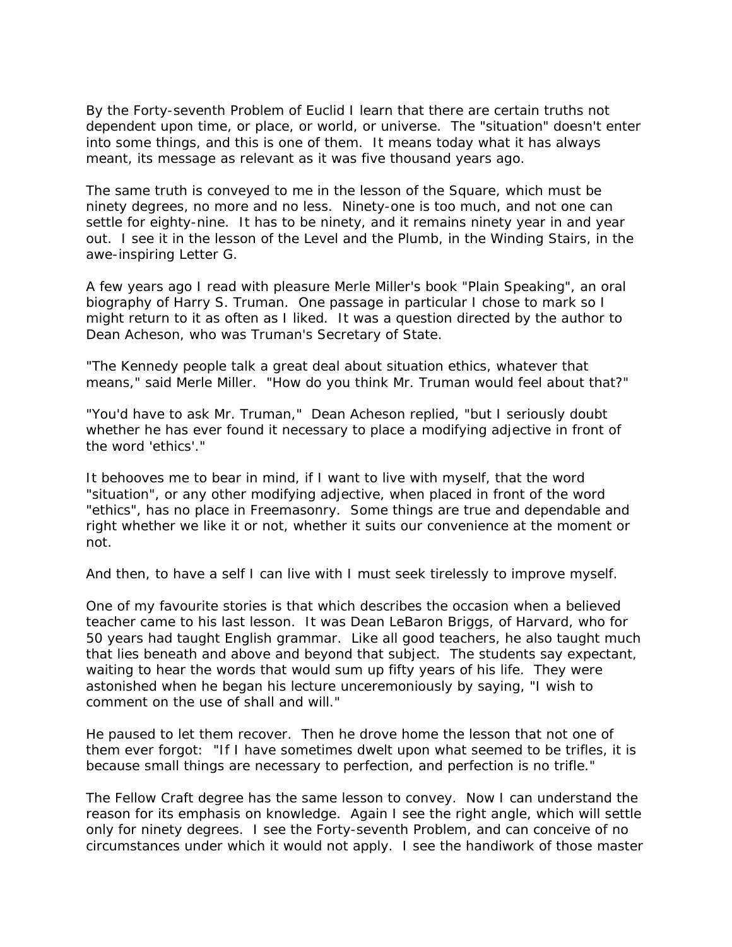By the Forty-seventh Problem of Euclid I learn that there are certain truths not dependent upon time, or place, or world, or universe. The "situation" doesn't enter into some things, and this is one of them. It means today what it has always meant, its message as relevant as it was five thousand years ago.

The same truth is conveyed to me in the lesson of the Square, which must be ninety degrees, no more and no less. Ninety-one is too much, and not one can settle for eighty-nine. It has to be ninety, and it remains ninety year in and year out. I see it in the lesson of the Level and the Plumb, in the Winding Stairs, in the awe-inspiring Letter G.

A few years ago I read with pleasure Merle Miller's book "Plain Speaking", an oral biography of Harry S. Truman. One passage in particular I chose to mark so I might return to it as often as I liked. It was a question directed by the author to Dean Acheson, who was Truman's Secretary of State.

"The Kennedy people talk a great deal about situation ethics, whatever that means," said Merle Miller. "How do you think Mr. Truman would feel about that?"

"You'd have to ask Mr. Truman," Dean Acheson replied, "but I seriously doubt whether he has ever found it necessary to place a modifying adjective in front of the word 'ethics'."

It behooves me to bear in mind, if I want to live with myself, that the word "situation", or any other modifying adjective, when placed in front of the word "ethics", has no place in Freemasonry. Some things are true and dependable and right whether we like it or not, whether it suits our convenience at the moment or not.

And then, to have a self I can live with I must seek tirelessly to improve myself.

One of my favourite stories is that which describes the occasion when a believed teacher came to his last lesson. It was Dean LeBaron Briggs, of Harvard, who for 50 years had taught English grammar. Like all good teachers, he also taught much that lies beneath and above and beyond that subject. The students say expectant, waiting to hear the words that would sum up fifty years of his life. They were astonished when he began his lecture unceremoniously by saying, "I wish to comment on the use of shall and will."

He paused to let them recover. Then he drove home the lesson that not one of them ever forgot: "If I have sometimes dwelt upon what seemed to be trifles, it is because small things are necessary to perfection, and perfection is no trifle."

The Fellow Craft degree has the same lesson to convey. Now I can understand the reason for its emphasis on knowledge. Again I see the right angle, which will settle only for ninety degrees. I see the Forty-seventh Problem, and can conceive of no circumstances under which it would not apply. I see the handiwork of those master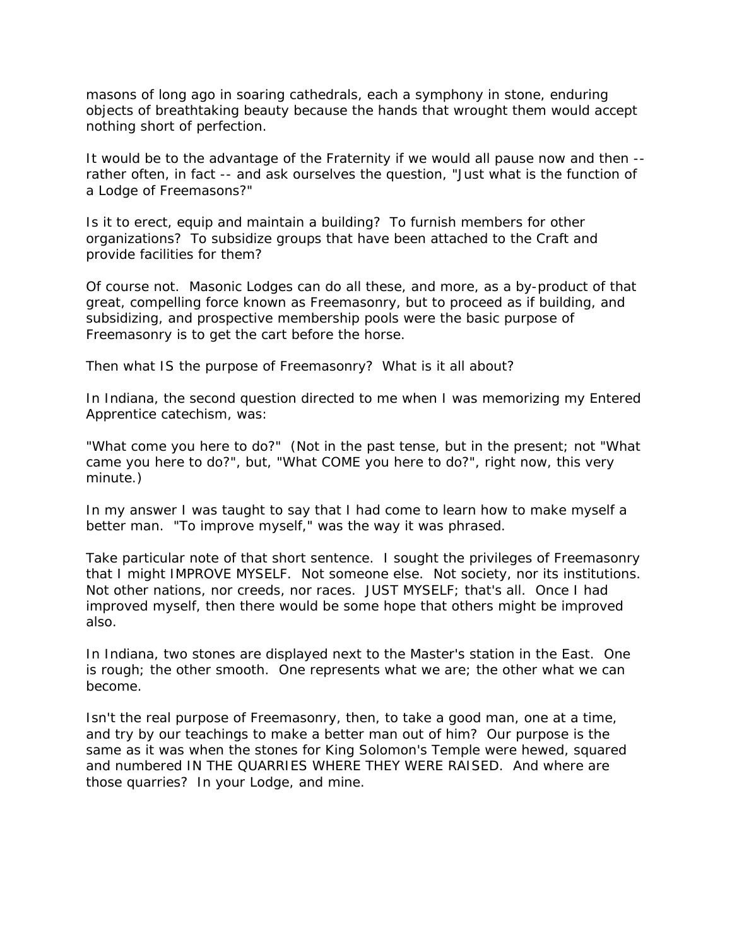masons of long ago in soaring cathedrals, each a symphony in stone, enduring objects of breathtaking beauty because the hands that wrought them would accept nothing short of perfection.

It would be to the advantage of the Fraternity if we would all pause now and then - rather often, in fact -- and ask ourselves the question, "Just what is the function of a Lodge of Freemasons?"

Is it to erect, equip and maintain a building? To furnish members for other organizations? To subsidize groups that have been attached to the Craft and provide facilities for them?

Of course not. Masonic Lodges can do all these, and more, as a by-product of that great, compelling force known as Freemasonry, but to proceed as if building, and subsidizing, and prospective membership pools were the basic purpose of Freemasonry is to get the cart before the horse.

Then what IS the purpose of Freemasonry? What is it all about?

In Indiana, the second question directed to me when I was memorizing my Entered Apprentice catechism, was:

"What come you here to do?" (Not in the past tense, but in the present; not "What came you here to do?", but, "What COME you here to do?", right now, this very minute.)

In my answer I was taught to say that I had come to learn how to make myself a better man. "To improve myself," was the way it was phrased.

Take particular note of that short sentence. I sought the privileges of Freemasonry that I might IMPROVE MYSELF. Not someone else. Not society, nor its institutions. Not other nations, nor creeds, nor races. JUST MYSELF; that's all. Once I had improved myself, then there would be some hope that others might be improved also.

In Indiana, two stones are displayed next to the Master's station in the East. One is rough; the other smooth. One represents what we are; the other what we can become.

Isn't the real purpose of Freemasonry, then, to take a good man, one at a time, and try by our teachings to make a better man out of him? Our purpose is the same as it was when the stones for King Solomon's Temple were hewed, squared and numbered IN THE QUARRIES WHERE THEY WERE RAISED. And where are those quarries? In your Lodge, and mine.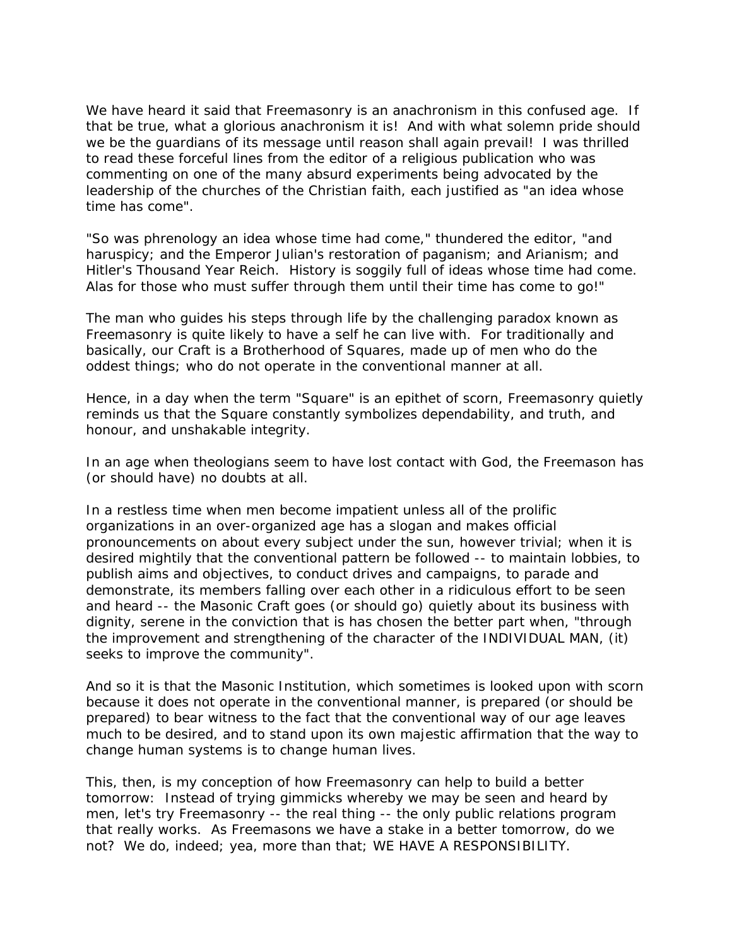We have heard it said that Freemasonry is an anachronism in this confused age. If that be true, what a glorious anachronism it is! And with what solemn pride should we be the quardians of its message until reason shall again prevail! I was thrilled to read these forceful lines from the editor of a religious publication who was commenting on one of the many absurd experiments being advocated by the leadership of the churches of the Christian faith, each justified as "an idea whose time has come".

"So was phrenology an idea whose time had come," thundered the editor, "and haruspicy; and the Emperor Julian's restoration of paganism; and Arianism; and Hitler's Thousand Year Reich. History is soggily full of ideas whose time had come. Alas for those who must suffer through them until their time has come to go!"

The man who guides his steps through life by the challenging paradox known as Freemasonry is quite likely to have a self he can live with. For traditionally and basically, our Craft is a Brotherhood of Squares, made up of men who do the oddest things; who do not operate in the conventional manner at all.

Hence, in a day when the term "Square" is an epithet of scorn, Freemasonry quietly reminds us that the Square constantly symbolizes dependability, and truth, and honour, and unshakable integrity.

In an age when theologians seem to have lost contact with God, the Freemason has (or should have) no doubts at all.

In a restless time when men become impatient unless all of the prolific organizations in an over-organized age has a slogan and makes official pronouncements on about every subject under the sun, however trivial; when it is desired mightily that the conventional pattern be followed -- to maintain lobbies, to publish aims and objectives, to conduct drives and campaigns, to parade and demonstrate, its members falling over each other in a ridiculous effort to be seen and heard -- the Masonic Craft goes (or should go) quietly about its business with dignity, serene in the conviction that is has chosen the better part when, "through the improvement and strengthening of the character of the INDIVIDUAL MAN, (it) seeks to improve the community".

And so it is that the Masonic Institution, which sometimes is looked upon with scorn because it does not operate in the conventional manner, is prepared (or should be prepared) to bear witness to the fact that the conventional way of our age leaves much to be desired, and to stand upon its own majestic affirmation that the way to change human systems is to change human lives.

This, then, is my conception of how Freemasonry can help to build a better tomorrow: Instead of trying gimmicks whereby we may be seen and heard by men, let's try Freemasonry -- the real thing -- the only public relations program that really works. As Freemasons we have a stake in a better tomorrow, do we not? We do, indeed; yea, more than that; WE HAVE A RESPONSIBILITY.